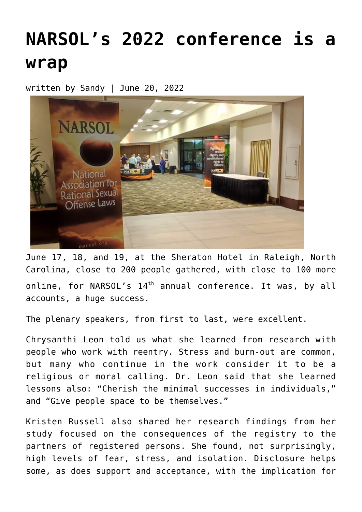## **[NARSOL's 2022 conference is a](https://narsol.org/2022/06/narsols-2022-conference-is-a-wrap/) [wrap](https://narsol.org/2022/06/narsols-2022-conference-is-a-wrap/)**

written by Sandy | June 20, 2022



June 17, 18, and 19, at the Sheraton Hotel in Raleigh, North Carolina, close to 200 people gathered, with close to 100 more online, for NARSOL's  $14<sup>th</sup>$  annual conference. It was, by all accounts, a huge success.

The plenary speakers, from first to last, were excellent.

Chrysanthi Leon told us what she learned from research with people who work with reentry. Stress and burn-out are common, but many who continue in the work consider it to be a religious or moral calling. Dr. Leon said that she learned lessons also: "Cherish the minimal successes in individuals," and "Give people space to be themselves."

Kristen Russell also shared her research findings from her study focused on the consequences of the registry to the partners of registered persons. She found, not surprisingly, high levels of fear, stress, and isolation. Disclosure helps some, as does support and acceptance, with the implication for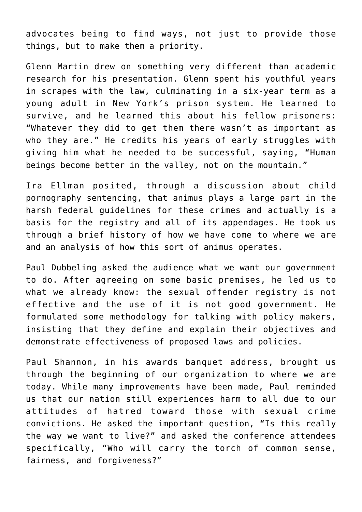advocates being to find ways, not just to provide those things, but to make them a priority.

Glenn Martin drew on something very different than academic research for his presentation. Glenn spent his youthful years in scrapes with the law, culminating in a six-year term as a young adult in New York's prison system. He learned to survive, and he learned this about his fellow prisoners: "Whatever they did to get them there wasn't as important as who they are." He credits his years of early struggles with giving him what he needed to be successful, saying, "Human beings become better in the valley, not on the mountain."

Ira Ellman posited, through a discussion about child pornography sentencing, that animus plays a large part in the harsh federal guidelines for these crimes and actually is a basis for the registry and all of its appendages. He took us through a brief history of how we have come to where we are and an analysis of how this sort of animus operates.

Paul Dubbeling asked the audience what we want our government to do. After agreeing on some basic premises, he led us to what we already know: the sexual offender registry is not effective and the use of it is not good government. He formulated some methodology for talking with policy makers, insisting that they define and explain their objectives and demonstrate effectiveness of proposed laws and policies.

Paul Shannon, in his awards banquet address, brought us through the beginning of our organization to where we are today. While many improvements have been made, Paul reminded us that our nation still experiences harm to all due to our attitudes of hatred toward those with sexual crime convictions. He asked the important question, "Is this really the way we want to live?" and asked the conference attendees specifically, "Who will carry the torch of common sense, fairness, and forgiveness?"